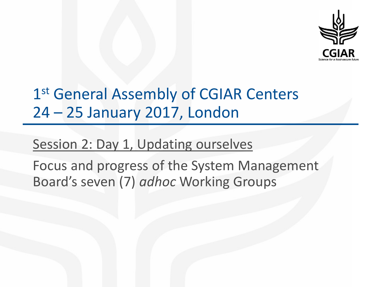

# 1<sup>st</sup> General Assembly of CGIAR Centers 24 – 25 January 2017, London

### Session 2: Day 1, Updating ourselves

Focus and progress of the System Management Board's seven (7) *adhoc* Working Groups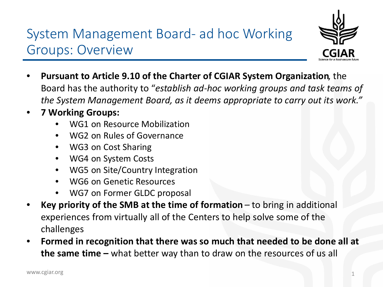System Management Board- ad hoc Working Groups: Overview



- **Pursuant to Article 9.10 of the Charter of CGIAR System Organization**, the Board has the authority to "*establish ad-hoc working groups and task teams of the System Management Board, as it deems appropriate to carry out its work."*
- **7 Working Groups:**
	- WG1 on Resource Mobilization
	- WG2 on Rules of Governance
	- WG3 on Cost Sharing
	- WG4 on System Costs
	- WG5 on Site/Country Integration
	- WG6 on Genetic Resources
	- WG7 on Former GLDC proposal
- **Key priority of the SMB at the time of formation**  to bring in additional experiences from virtually all of the Centers to help solve some of the challenges
- **Formed in recognition that there was so much that needed to be done all at the same time –** what better way than to draw on the resources of us all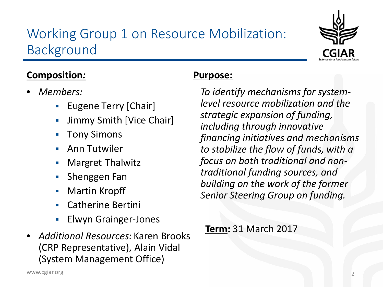### Working Group 1 on Resource Mobilization: Background



#### **Composition***:*

- *Members:* 
	- **Eugene Terry [Chair]**
	- Jimmy Smith [Vice Chair]
	- Tony Simons
	- Ann Tutwiler
	- Margret Thalwitz
	- **Shenggen Fan**
	- Martin Kropff
	- Catherine Bertini
	- Elwyn Grainger-Jones
- *Additional Resources:* Karen Brooks (CRP Representative), Alain Vidal (System Management Office)

### **Purpose:**

*To identify mechanisms for systemlevel resource mobilization and the strategic expansion of funding, including through innovative financing initiatives and mechanisms to stabilize the flow of funds, with a focus on both traditional and nontraditional funding sources, and building on the work of the former Senior Steering Group on funding.*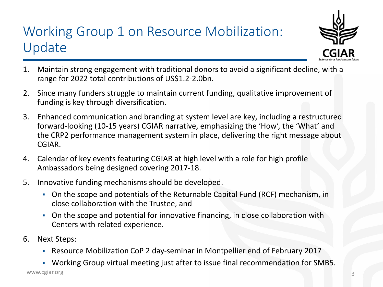# Working Group 1 on Resource Mobilization: Update



- 1. Maintain strong engagement with traditional donors to avoid a significant decline, with a range for 2022 total contributions of US\$1.2-2.0bn.
- 2. Since many funders struggle to maintain current funding, qualitative improvement of funding is key through diversification.
- 3. Enhanced communication and branding at system level are key, including a restructured forward-looking (10-15 years) CGIAR narrative, emphasizing the 'How', the 'What' and the CRP2 performance management system in place, delivering the right message about CGIAR.
- 4. Calendar of key events featuring CGIAR at high level with a role for high profile Ambassadors being designed covering 2017-18.
- 5. Innovative funding mechanisms should be developed.
	- On the scope and potentials of the Returnable Capital Fund (RCF) mechanism, in close collaboration with the Trustee, and
	- On the scope and potential for innovative financing, in close collaboration with Centers with related experience.
- 6. Next Steps:
	- Resource Mobilization CoP 2 day-seminar in Montpellier end of February 2017

www.cgiar.org Working Group virtual meeting just after to issue final recommendation for SMB5.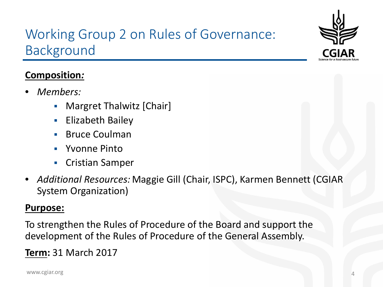

## Working Group 2 on Rules of Governance: Background

#### **Composition***:*

- *Members:* 
	- **•** Margret Thalwitz [Chair]
	- Elizabeth Bailey
	- Bruce Coulman
	- Yvonne Pinto
	- Cristian Samper
- *Additional Resources:* Maggie Gill (Chair, ISPC), Karmen Bennett (CGIAR System Organization)

#### **Purpose:**

To strengthen the Rules of Procedure of the Board and support the development of the Rules of Procedure of the General Assembly.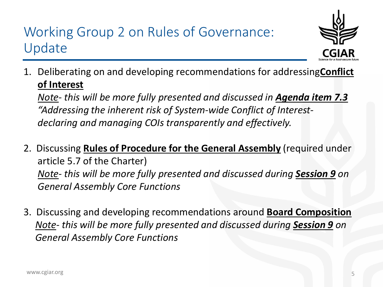## Working Group 2 on Rules of Governance: Update



1. Deliberating on and developing recommendations for addressing **Conflict of Interest**

*Note- this will be more fully presented and discussed in Agenda item 7.3 "Addressing the inherent risk of System-wide Conflict of Interestdeclaring and managing COIs transparently and effectively.*

- 2. Discussing **Rules of Procedure for the General Assembly** (required under article 5.7 of the Charter) *Note- this will be more fully presented and discussed during Session 9 on General Assembly Core Functions*
- 3. Discussing and developing recommendations around **Board Composition** *Note- this will be more fully presented and discussed during Session 9 on General Assembly Core Functions*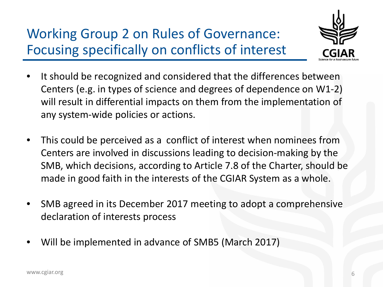Working Group 2 on Rules of Governance: Focusing specifically on conflicts of interest



- It should be recognized and considered that the differences between Centers (e.g. in types of science and degrees of dependence on W1-2) will result in differential impacts on them from the implementation of any system-wide policies or actions.
- This could be perceived as a conflict of interest when nominees from Centers are involved in discussions leading to decision-making by the SMB, which decisions, according to Article 7.8 of the Charter, should be made in good faith in the interests of the CGIAR System as a whole.
- SMB agreed in its December 2017 meeting to adopt a comprehensive declaration of interests process
- Will be implemented in advance of SMB5 (March 2017)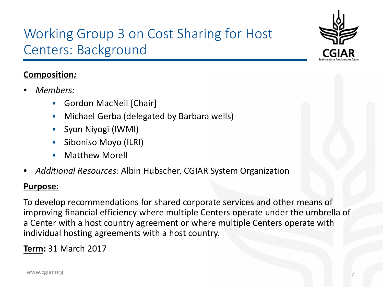

## Working Group 3 on Cost Sharing for Host Centers: Background

#### **Composition***:*

- *Members:* 
	- Gordon MacNeil [Chair]
	- Michael Gerba (delegated by Barbara wells)
	- Syon Niyogi (IWMI)
	- **Siboniso Moyo (ILRI)**
	- **Natthew Morell**
- *Additional Resources:* Albin Hubscher, CGIAR System Organization

#### **Purpose:**

To develop recommendations for shared corporate services and other means of improving financial efficiency where multiple Centers operate under the umbrella of a Center with a host country agreement or where multiple Centers operate with individual hosting agreements with a host country.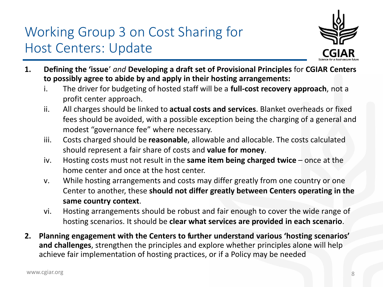## Working Group 3 on Cost Sharing for Host Centers: Update



- **1. Defining the 'issue**' *and* **Developing a draft set of Provisional Principles** for **CGIAR Centers to possibly agree to abide by and apply in their hosting arrangements:**
	- i. The driver for budgeting of hosted staff will be a **full-cost recovery approach**, not a profit center approach.
	- ii. All charges should be linked to **actual costs and services**. Blanket overheads or fixed fees should be avoided, with a possible exception being the charging of a general and modest "governance fee" where necessary.
	- iii. Costs charged should be **reasonable**, allowable and allocable. The costs calculated should represent a fair share of costs and **value for money**.
	- iv. Hosting costs must not result in the **same item being charged twice** once at the home center and once at the host center.
	- v. While hosting arrangements and costs may differ greatly from one country or one Center to another, these **should not differ greatly between Centers operating in the same country context**.
	- vi. Hosting arrangements should be robust and fair enough to cover the wide range of hosting scenarios. It should be **clear what services are provided in each scenario**.
- **2. Planning engagement with the Centers to further understand various 'hosting scenarios' and challenges**, strengthen the principles and explore whether principles alone will help achieve fair implementation of hosting practices, or if a Policy may be needed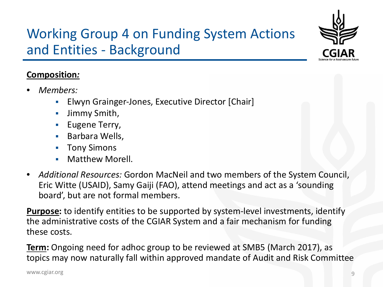

## Working Group 4 on Funding System Actions and Entities - Background

#### **Composition***:*

- *Members:* 
	- Elwyn Grainger-Jones, Executive Director [Chair]
	- Jimmy Smith,
	- **Eugene Terry,**
	- **Barbara Wells,**
	- Tony Simons
	- Matthew Morell.
- *Additional Resources:* Gordon MacNeil and two members of the System Council, Eric Witte (USAID), Samy Gaiji (FAO), attend meetings and act as a 'sounding board', but are not formal members.

**Purpose:** to identify entities to be supported by system-level investments, identify the administrative costs of the CGIAR System and a fair mechanism for funding these costs.

**Term:** Ongoing need for adhoc group to be reviewed at SMB5 (March 2017), as topics may now naturally fall within approved mandate of Audit and Risk Committee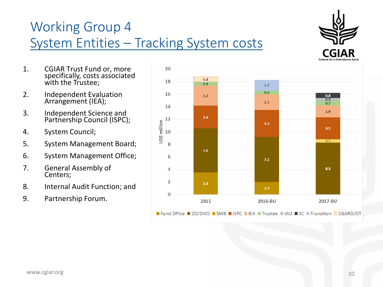# Working Group 4 System Entities – Tracking System costs



- 1. CGIAR Trust Fund or, more specifically, costs associated with the Trustee;
- 2. Independent Evaluation Arrangement (IEA);
- 3. Independent Science and Partnership Council (ISPC);
- 4. System Council;
- 5. System Management Board;
- 6. System Management Office;
- 7. General Assembly of Centers;
- 8. Internal Audit Function; and
- 9. Partnership Forum.

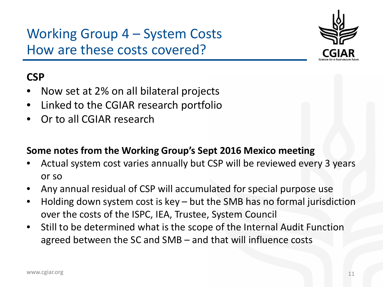Working Group 4 – System Costs How are these costs covered?



### **CSP**

- Now set at 2% on all bilateral projects
- Linked to the CGIAR research portfolio
- Or to all CGIAR research

#### **Some notes from the Working Group's Sept 2016 Mexico meeting**

- Actual system cost varies annually but CSP will be reviewed every 3 years or so
- Any annual residual of CSP will accumulated for special purpose use
- Holding down system cost is key  $-$  but the SMB has no formal jurisdiction over the costs of the ISPC, IEA, Trustee, System Council
- Still to be determined what is the scope of the Internal Audit Function agreed between the SC and SMB – and that will influence costs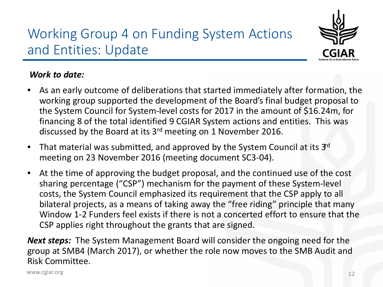



#### *Work to date:*

- As an early outcome of deliberations that started immediately after formation, the working group supported the development of the Board's final budget proposal to the System Council for System-level costs for 2017 in the amount of \$16.24m, for financing 8 of the total identified 9 CGIAR System actions and entities. This was discussed by the Board at its 3rd meeting on 1 November 2016.
- That material was submitted, and approved by the System Council at its  $3<sup>d</sup>$ meeting on 23 November 2016 (meeting document SC3-04).
- At the time of approving the budget proposal, and the continued use of the cost sharing percentage ("CSP") mechanism for the payment of these System-level costs, the System Council emphasized its requirement that the CSP apply to all bilateral projects, as a means of taking away the "free riding" principle that many Window 1-2 Funders feel exists if there is not a concerted effort to ensure that the CSP applies right throughout the grants that are signed.

*Next steps:* The System Management Board will consider the ongoing need for the group at SMB4 (March 2017), or whether the role now moves to the SMB Audit and Risk Committee.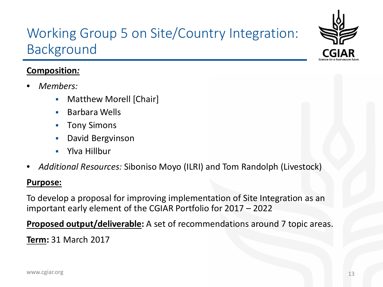### Working Group 5 on Site/Country Integration: Background

#### **Composition***:*

- *Members:* 
	- Matthew Morell [Chair]
	- **Barbara Wells**
	- **Tony Simons**
	- David Bergvinson
	- Ylva Hillbur
- *Additional Resources:* Siboniso Moyo (ILRI) and Tom Randolph (Livestock)

#### **Purpose:**

To develop a proposal for improving implementation of Site Integration as an important early element of the CGIAR Portfolio for 2017 – 2022

**Proposed output/deliverable:** A set of recommendations around 7 topic areas.

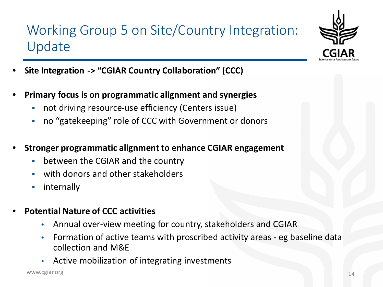## Working Group 5 on Site/Country Integration: Update



- **Site Integration -> "CGIAR Country Collaboration" (CCC)**
- **Primary focus is on programmatic alignment and synergies** 
	- not driving resource-use efficiency (Centers issue)
	- no "gatekeeping" role of CCC with Government or donors
- **Stronger programmatic alignment to enhance CGIAR engagement**
	- between the CGIAR and the country
	- with donors and other stakeholders
	- **internally**
- **Potential Nature of CCC activities**
	- Annual over-view meeting for country, stakeholders and CGIAR
	- Formation of active teams with proscribed activity areas eg baseline data collection and M&E
	- Active mobilization of integrating investments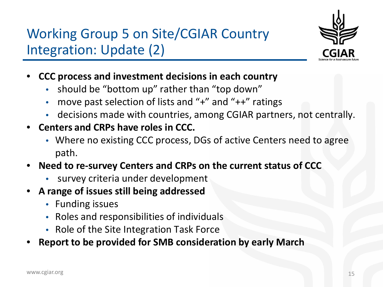Working Group 5 on Site/CGIAR Country Integration: Update (2)



- **CCC process and investment decisions in each country** 
	- should be "bottom up" rather than "top down"
	- move past selection of lists and "+" and "++" ratings
	- decisions made with countries, among CGIAR partners, not centrally.
- **Centers and CRPs have roles in CCC.** 
	- Where no existing CCC process, DGs of active Centers need to agree path.
- **Need to re-survey Centers and CRPs on the current status of CCC**
	- survey criteria under development
- **A range of issues still being addressed**
	- Funding issues
	- Roles and responsibilities of individuals
	- Role of the Site Integration Task Force
- **Report to be provided for SMB consideration by early March**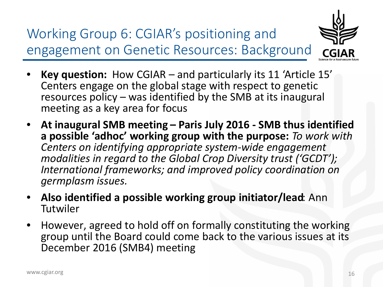Working Group 6: CGIAR's positioning and engagement on Genetic Resources: Background



- **Key question:** How CGIAR and particularly its 11 'Article 15' Centers engage on the global stage with respect to genetic resources policy – was identified by the SMB at its inaugural meeting as a key area for focus
- **At inaugural SMB meeting – Paris July 2016 - SMB thus identified a possible 'adhoc' working group with the purpose:** *To work with Centers on identifying appropriate system-wide engagement modalities in regard to the Global Crop Diversity trust ('GCDT'); International frameworks; and improved policy coordination on germplasm issues.*
- **Also identified a possible working group initiator/lead**: Ann Tutwiler
- However, agreed to hold off on formally constituting the working group until the Board could come back to the various issues at its December 2016 (SMB4) meeting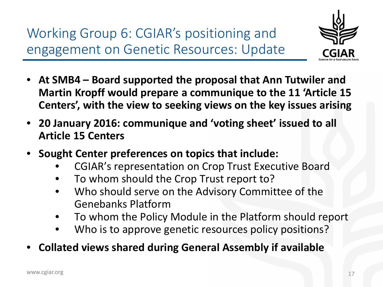Working Group 6: CGIAR's positioning and engagement on Genetic Resources: Update



- **At SMB4 – Board supported the proposal that Ann Tutwiler and Martin Kropff would prepare a communique to the 11 'Article 15 Centers', with the view to seeking views on the key issues arising**
- **20 January 2016: communique and 'voting sheet' issued to all Article 15 Centers**
- **Sought Center preferences on topics that include:**
	- CGIAR's representation on Crop Trust Executive Board
	- To whom should the Crop Trust report to?
	- Who should serve on the Advisory Committee of the Genebanks Platform
	- To whom the Policy Module in the Platform should report
	- Who is to approve genetic resources policy positions?
- **Collated views shared during General Assembly if available**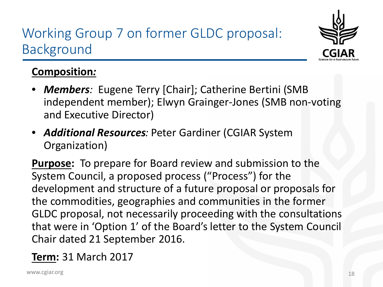## Working Group 7 on former GLDC proposal: Background



### **Composition***:*

- *Members:* Eugene Terry [Chair]; Catherine Bertini (SMB independent member); Elwyn Grainger-Jones (SMB non-voting and Executive Director)
- *Additional Resources:* Peter Gardiner (CGIAR System Organization)

**Purpose:** To prepare for Board review and submission to the System Council, a proposed process ("Process") for the development and structure of a future proposal or proposals for the commodities, geographies and communities in the former GLDC proposal, not necessarily proceeding with the consultations that were in 'Option 1' of the Board's letter to the System Council Chair dated 21 September 2016.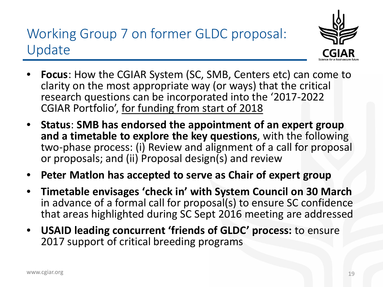### Working Group 7 on former GLDC proposal: Update



- **Focus**: How the CGIAR System (SC, SMB, Centers etc) can come to clarity on the most appropriate way (or ways) that the critical research questions can be incorporated into the '2017-2022 CGIAR Portfolio', for funding from start of 2018
- **Status**: **SMB has endorsed the appointment of an expert group and a timetable to explore the key questions**, with the following two-phase process: (i) Review and alignment of a call for proposal or proposals; and (ii) Proposal design(s) and review
- **Peter Matlon has accepted to serve as Chair of expert group**
- **Timetable envisages 'check in' with System Council on 30 March**  in advance of a formal call for proposal(s) to ensure SC confidence that areas highlighted during SC Sept 2016 meeting are addressed
- **USAID leading concurrent 'friends of GLDC' process:** to ensure 2017 support of critical breeding programs